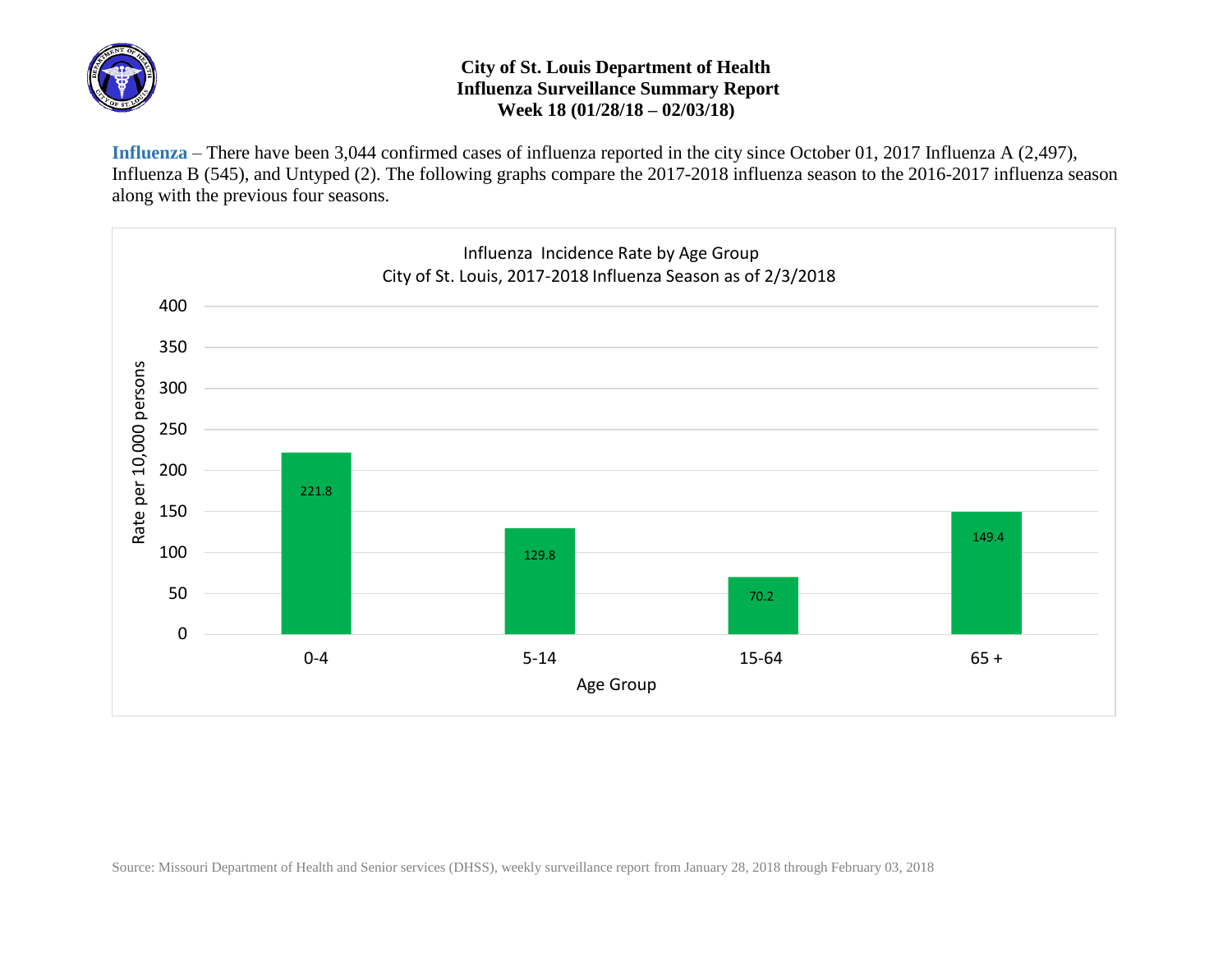

## **City of St. Louis Department of Health Influenza Surveillance Summary Report Week 18 (01/28/18 – 02/03/18)**

**Influenza** – There have been 3,044 confirmed cases of influenza reported in the city since October 01, 2017 Influenza A (2,497), Influenza B (545), and Untyped (2). The following graphs compare the 2017-2018 influenza season to the 2016-2017 influenza season along with the previous four seasons.